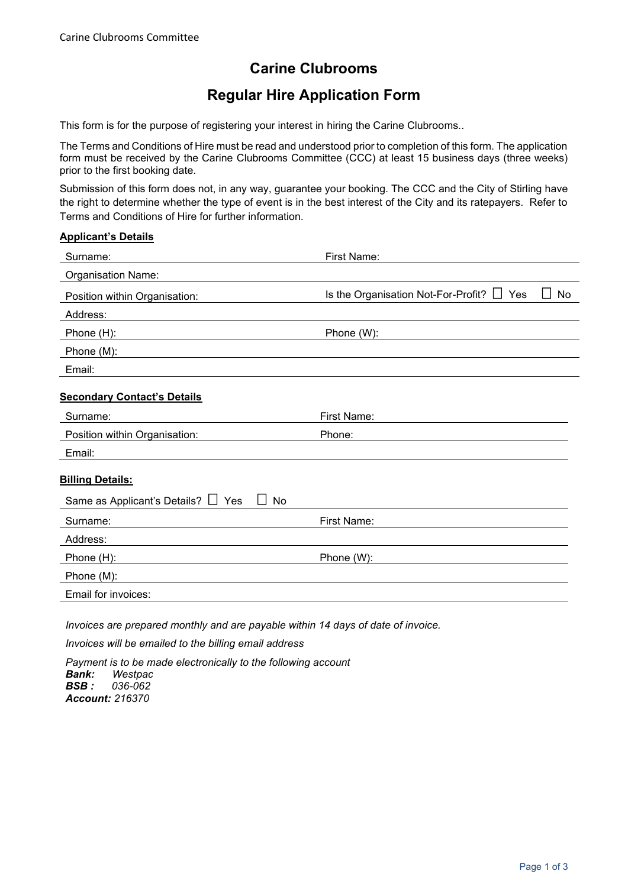## **Carine Clubrooms**

## **Regular Hire Application Form**

This form is for the purpose of registering your interest in hiring the Carine Clubrooms..

The Terms and Conditions of Hire must be read and understood prior to completion of this form. The application form must be received by the Carine Clubrooms Committee (CCC) at least 15 business days (three weeks) prior to the first booking date.

Submission of this form does not, in any way, guarantee your booking. The CCC and the City of Stirling have the right to determine whether the type of event is in the best interest of the City and its ratepayers. Refer to Terms and Conditions of Hire for further information.

| Surname:                                 | <b>First Name:</b>                                      |
|------------------------------------------|---------------------------------------------------------|
| <b>Organisation Name:</b>                |                                                         |
| Position within Organisation:            | Is the Organisation Not-For-Profit? $\Box$<br>Yes<br>No |
| Address:                                 |                                                         |
| Phone (H):                               | Phone (W):                                              |
| Phone (M):                               |                                                         |
| Email:                                   |                                                         |
| <b>Secondary Contact's Details</b>       |                                                         |
| Surname:                                 | First Name:                                             |
| Position within Organisation:            | Phone:                                                  |
| Email:                                   |                                                         |
| <b>Billing Details:</b>                  |                                                         |
| Same as Applicant's Details? □ Yes<br>No |                                                         |
| Surname:                                 | First Name:                                             |
| Address:                                 |                                                         |
| Phone (H):                               | Phone (W):                                              |
| Phone (M):                               |                                                         |
| Email for invoices:                      |                                                         |

*Invoices will be emailed to the billing email address*

*Payment is to be made electronically to the following account Bank: Westpac BSB : 036-062 Account: 216370*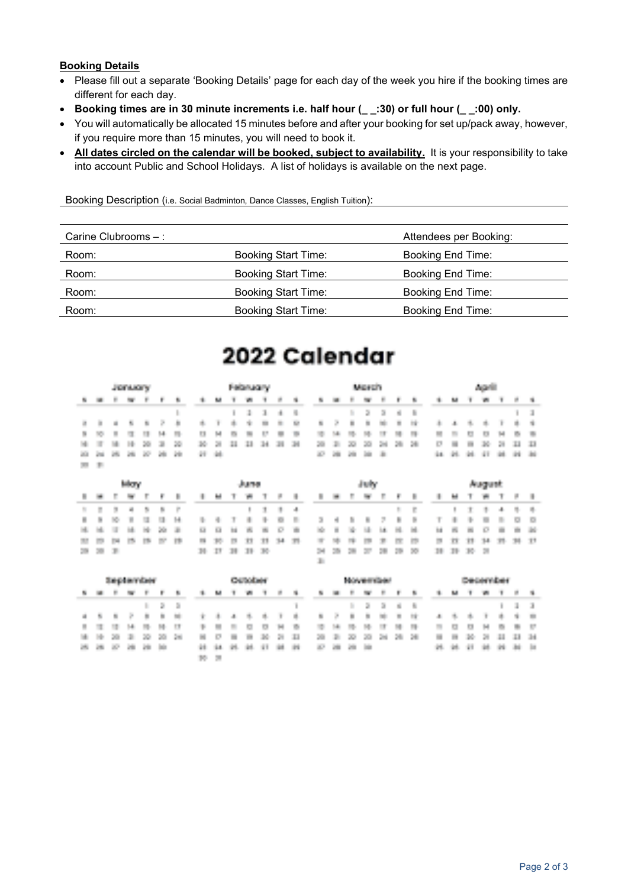### **Booking Details**

- Please fill out a separate 'Booking Details' page for each day of the week you hire if the booking times are different for each day.
- **Booking times are in 30 minute increments i.e. half hour (\_ \_:30) or full hour (\_ \_:00) only.**
- You will automatically be allocated 15 minutes before and after your booking for set up/pack away, however, if you require more than 15 minutes, you will need to book it.
- **All dates circled on the calendar will be booked, subject to availability.** It is your responsibility to take into account Public and School Holidays. A list of holidays is available on the next page.

Booking Description (i.e. Social Badminton, Dance Classes, English Tuition):

| Carine Clubrooms $-$ : |                            | Attendees per Booking:   |
|------------------------|----------------------------|--------------------------|
| Room:                  | Booking Start Time:        | Booking End Time:        |
| Room:                  | <b>Booking Start Time:</b> | Booking End Time:        |
| Room:                  | <b>Booking Start Time:</b> | Booking End Time:        |
| Room:                  | <b>Booking Start Time:</b> | <b>Booking End Time:</b> |

# 2022 Calendar

|              | Jerucry |  |                              |         |  | February. |  |  |  | <b>March</b> |  |  |                      | <b>Augustin</b> |  |  |
|--------------|---------|--|------------------------------|---------|--|-----------|--|--|--|--------------|--|--|----------------------|-----------------|--|--|
|              |         |  | <b><i>S M S W T F S </i></b> | <b></b> |  |           |  |  |  |              |  |  |                      |                 |  |  |
|              |         |  |                              | .       |  |           |  |  |  |              |  |  |                      |                 |  |  |
|              |         |  |                              |         |  |           |  |  |  |              |  |  |                      |                 |  |  |
|              |         |  |                              | <b></b> |  |           |  |  |  |              |  |  |                      |                 |  |  |
|              |         |  |                              |         |  |           |  |  |  |              |  |  |                      |                 |  |  |
|              |         |  |                              |         |  |           |  |  |  |              |  |  | 14 25 26 27 28 29 20 |                 |  |  |
| <b>THE R</b> |         |  |                              |         |  |           |  |  |  |              |  |  |                      |                 |  |  |

|  |            | May |  |  |  | Juane, |  |  |  | diale. |  |  |  | August |  |  |
|--|------------|-----|--|--|--|--------|--|--|--|--------|--|--|--|--------|--|--|
|  |            |     |  |  |  |        |  |  |  |        |  |  |  |        |  |  |
|  |            |     |  |  |  |        |  |  |  |        |  |  |  |        |  |  |
|  |            |     |  |  |  |        |  |  |  |        |  |  |  |        |  |  |
|  |            |     |  |  |  |        |  |  |  |        |  |  |  |        |  |  |
|  |            |     |  |  |  |        |  |  |  |        |  |  |  |        |  |  |
|  | 200 201 30 |     |  |  |  |        |  |  |  |        |  |  |  |        |  |  |
|  |            |     |  |  |  |        |  |  |  |        |  |  |  |        |  |  |

|    |            | <b>September</b> |             |                 |               |                |          |                                                                                                                                                                                                                                      |            | <b>Chairman Fords</b> |           |      |            |                 |          |             |            |                       | <b>November</b> |          |     |                   |                | <b>Service and control to</b> |     |     |     |               |
|----|------------|------------------|-------------|-----------------|---------------|----------------|----------|--------------------------------------------------------------------------------------------------------------------------------------------------------------------------------------------------------------------------------------|------------|-----------------------|-----------|------|------------|-----------------|----------|-------------|------------|-----------------------|-----------------|----------|-----|-------------------|----------------|-------------------------------|-----|-----|-----|---------------|
| 醋  |            |                  |             |                 |               |                |          | M                                                                                                                                                                                                                                    |            | 100                   |           | m.   | Ń.         | Ņ.              |          | <b>BRIT</b> | F.         |                       | m.              |          | s.  |                   | M              |                               |     |     | F.  |               |
|    |            |                  |             | <b>ALC: YES</b> | <b>S S 30</b> |                |          |                                                                                                                                                                                                                                      |            |                       |           |      |            |                 |          |             |            | <b>British Street</b> | D.              |          |     |                   |                |                               |     |     | 1 I |               |
|    |            | $4 - 5 - 8 - 7$  |             | a.              | $\sim$        | <b>College</b> | 一度 一歩 一人 |                                                                                                                                                                                                                                      |            |                       |           |      |            | * * * * * * * * |          |             |            | $8 - 8$               | <b>SEC</b>      | n milita | 27  | a.                | <b>British</b> | <b>图</b>                      |     | 电阻  |     | <b>11.500</b> |
|    |            | and the second   | 241         |                 | .             |                | ш.       | <b>The Contract of the Contract of the Contract of the Contract of the Contract of the Contract of the Contract of the Contract of the Contract of The Contract of The Contract of The Contract of The Contract of The Contract </b> | ÷          | <b>A</b>              | <b>CO</b> | - 74 | ×,         | -91             |          | 19.         |            |                       |                 |          |     | ÷                 | in.            | lin 1                         | M   | 100 | w.  | 15            |
|    |            | 29.              |             | 201             | 201           | 200            |          | <b>BALLAST</b>                                                                                                                                                                                                                       | <b>THE</b> | <b>THE</b>            | 20.       | -28. | <b>III</b> |                 | 20 21 31 |             | 201        | 1,500                 | 24              | - 200    | 28. | <b>STAR</b>       |                | 20.                           | -28 | ш   |     | -34.          |
| e. | <b>COL</b> | аQ.              | <b>STEP</b> | <b>SHIP</b>     | <b>SIGN</b>   |                | H.       | 1944                                                                                                                                                                                                                                 |            |                       |           |      | 10         | an i            |          |             | <b>SOF</b> | <b>COMP</b>           |                 |          |     | <b>STATISTICS</b> |                |                               |     |     |     | <b>Since</b>  |
|    |            |                  |             |                 |               |                | 19. Z    |                                                                                                                                                                                                                                      |            |                       |           |      |            |                 |          |             |            |                       |                 |          |     |                   |                |                               |     |     |     |               |